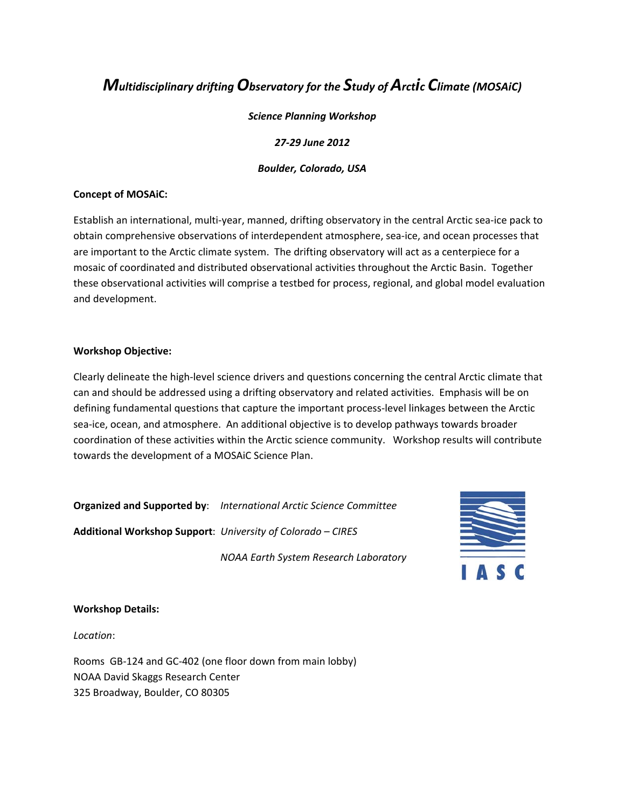## *Multidisciplinary driftingObservatory for the Study ofArctic Climate (MOSAiC)*

#### *Science Planning Workshop*

#### *27‐29 June 2012*

#### *Boulder, Colorado, USA*

#### **Concept of MOSAiC:**

Establish an international, multi-year, manned, drifting observatory in the central Arctic sea-ice pack to obtain comprehensive observations of interdependent atmosphere, sea‐ice, and ocean processes that are important to the Arctic climate system. The drifting observatory will act as a centerpiece for a mosaic of coordinated and distributed observational activities throughout the Arctic Basin. Together these observational activities will comprise a testbed for process, regional, and global model evaluation and development.

#### **Workshop Objective:**

Clearly delineate the high‐level science drivers and questions concerning the central Arctic climate that can and should be addressed using a drifting observatory and related activities. Emphasis will be on defining fundamental questions that capture the important process-level linkages between the Arctic sea‐ice, ocean, and atmosphere. An additional objective is to develop pathways towards broader coordination of these activities within the Arctic science community. Workshop results will contribute towards the development of a MOSAiC Science Plan.

**Organized and Supported by**: *International Arctic Science Committee*

**Additional Workshop Support**: *University of Colorado – CIRES* 

*NOAA Earth System Research Laboratory*



#### **Workshop Details:**

*Location*:

Rooms GB‐124 and GC‐402 (one floor down from main lobby) NOAA David Skaggs Research Center 325 Broadway, Boulder, CO 80305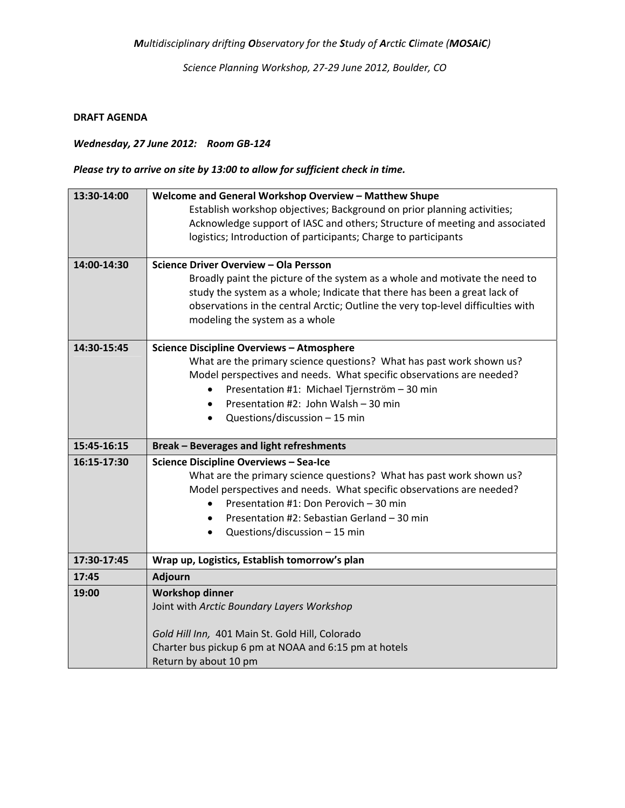*Science Planning Workshop, 27‐29 June 2012, Boulder, CO*

#### **DRAFT AGENDA**

## *Wednesday, 27 June 2012: Room GB‐124*

## *Please try to arrive on site by 13:00 to allow for sufficient check in time.*

| 13:30-14:00 | Welcome and General Workshop Overview - Matthew Shupe                            |
|-------------|----------------------------------------------------------------------------------|
|             | Establish workshop objectives; Background on prior planning activities;          |
|             | Acknowledge support of IASC and others; Structure of meeting and associated      |
|             | logistics; Introduction of participants; Charge to participants                  |
|             |                                                                                  |
| 14:00-14:30 | Science Driver Overview - Ola Persson                                            |
|             | Broadly paint the picture of the system as a whole and motivate the need to      |
|             | study the system as a whole; Indicate that there has been a great lack of        |
|             | observations in the central Arctic; Outline the very top-level difficulties with |
|             | modeling the system as a whole                                                   |
| 14:30-15:45 | <b>Science Discipline Overviews - Atmosphere</b>                                 |
|             | What are the primary science questions? What has past work shown us?             |
|             | Model perspectives and needs. What specific observations are needed?             |
|             | Presentation #1: Michael Tjernström - 30 min                                     |
|             | Presentation #2: John Walsh - 30 min<br>$\bullet$                                |
|             | Questions/discussion - 15 min                                                    |
|             |                                                                                  |
| 15:45-16:15 | <b>Break - Beverages and light refreshments</b>                                  |
| 16:15-17:30 | Science Discipline Overviews - Sea-Ice                                           |
|             | What are the primary science questions? What has past work shown us?             |
|             | Model perspectives and needs. What specific observations are needed?             |
|             | Presentation #1: Don Perovich - 30 min                                           |
|             | Presentation #2: Sebastian Gerland - 30 min<br>$\bullet$                         |
|             | Questions/discussion - 15 min<br>$\bullet$                                       |
| 17:30-17:45 | Wrap up, Logistics, Establish tomorrow's plan                                    |
| 17:45       | Adjourn                                                                          |
|             |                                                                                  |
| 19:00       | <b>Workshop dinner</b>                                                           |
|             | Joint with Arctic Boundary Layers Workshop                                       |
|             | Gold Hill Inn, 401 Main St. Gold Hill, Colorado                                  |
|             | Charter bus pickup 6 pm at NOAA and 6:15 pm at hotels                            |
|             | Return by about 10 pm                                                            |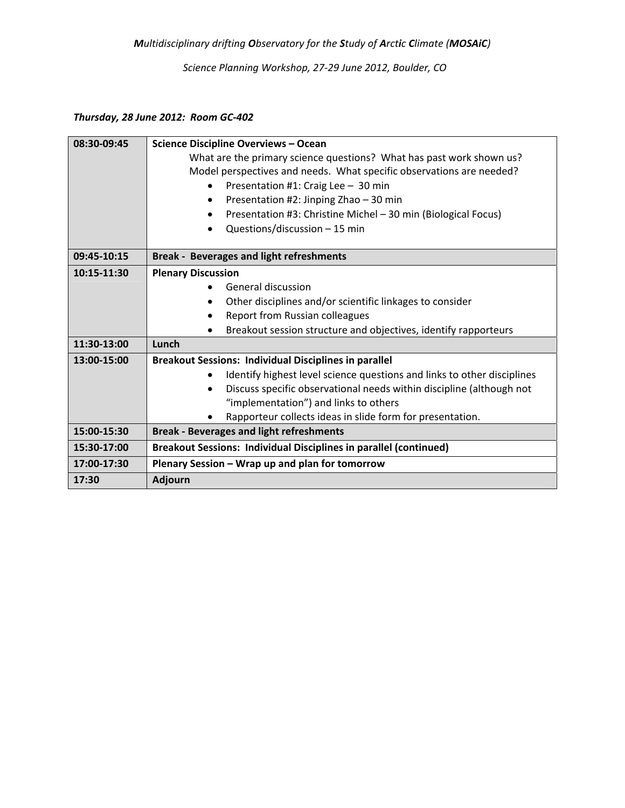*Science Planning Workshop, 27‐29 June 2012, Boulder, CO*

## *Thursday, 28 June 2012: Room GC‐402*

| 08:30-09:45 | <b>Science Discipline Overviews - Ocean</b>                                       |
|-------------|-----------------------------------------------------------------------------------|
|             | What are the primary science questions? What has past work shown us?              |
|             | Model perspectives and needs. What specific observations are needed?              |
|             | Presentation #1: Craig Lee - 30 min<br>$\bullet$                                  |
|             | Presentation #2: Jinping Zhao - 30 min<br>$\bullet$                               |
|             | Presentation #3: Christine Michel - 30 min (Biological Focus)                     |
|             | Questions/discussion $-15$ min                                                    |
|             |                                                                                   |
| 09:45-10:15 | <b>Break - Beverages and light refreshments</b>                                   |
| 10:15-11:30 | <b>Plenary Discussion</b>                                                         |
|             | General discussion                                                                |
|             | Other disciplines and/or scientific linkages to consider<br>$\bullet$             |
|             | Report from Russian colleagues<br>$\bullet$                                       |
|             | Breakout session structure and objectives, identify rapporteurs<br>$\bullet$      |
| 11:30-13:00 | Lunch                                                                             |
| 13:00-15:00 | <b>Breakout Sessions: Individual Disciplines in parallel</b>                      |
|             | Identify highest level science questions and links to other disciplines           |
|             | Discuss specific observational needs within discipline (although not<br>$\bullet$ |
|             | "implementation") and links to others                                             |
|             | Rapporteur collects ideas in slide form for presentation.                         |
| 15:00-15:30 | <b>Break - Beverages and light refreshments</b>                                   |
| 15:30-17:00 | Breakout Sessions: Individual Disciplines in parallel (continued)                 |
| 17:00-17:30 | Plenary Session - Wrap up and plan for tomorrow                                   |
| 17:30       | <b>Adjourn</b>                                                                    |